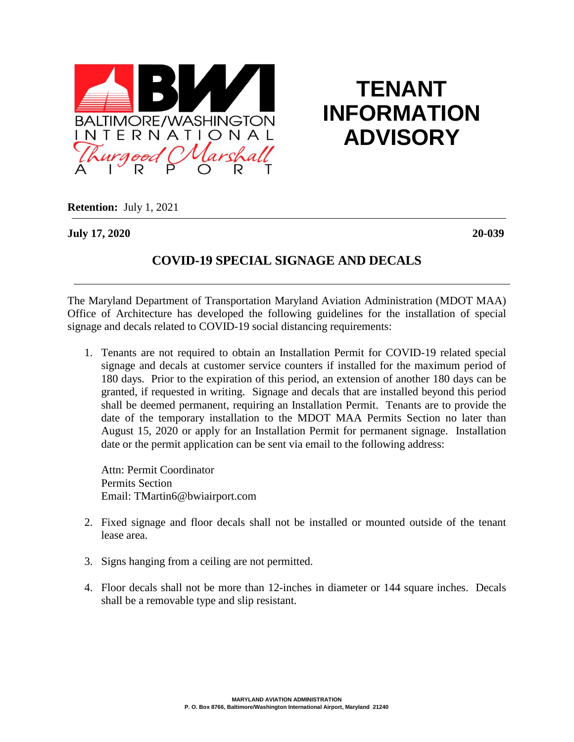

## **TENANT INFORMATION ADVISORY**

**Retention:** July 1, 2021

**July 17, 2020 20-039**

## **COVID-19 SPECIAL SIGNAGE AND DECALS**

The Maryland Department of Transportation Maryland Aviation Administration (MDOT MAA) Office of Architecture has developed the following guidelines for the installation of special signage and decals related to COVID-19 social distancing requirements:

1. Tenants are not required to obtain an Installation Permit for COVID-19 related special signage and decals at customer service counters if installed for the maximum period of 180 days. Prior to the expiration of this period, an extension of another 180 days can be granted, if requested in writing. Signage and decals that are installed beyond this period shall be deemed permanent, requiring an Installation Permit. Tenants are to provide the date of the temporary installation to the MDOT MAA Permits Section no later than August 15, 2020 or apply for an Installation Permit for permanent signage. Installation date or the permit application can be sent via email to the following address:

Attn: Permit Coordinator Permits Section Email: TMartin6@bwiairport.com

- 2. Fixed signage and floor decals shall not be installed or mounted outside of the tenant lease area.
- 3. Signs hanging from a ceiling are not permitted.
- 4. Floor decals shall not be more than 12-inches in diameter or 144 square inches. Decals shall be a removable type and slip resistant.